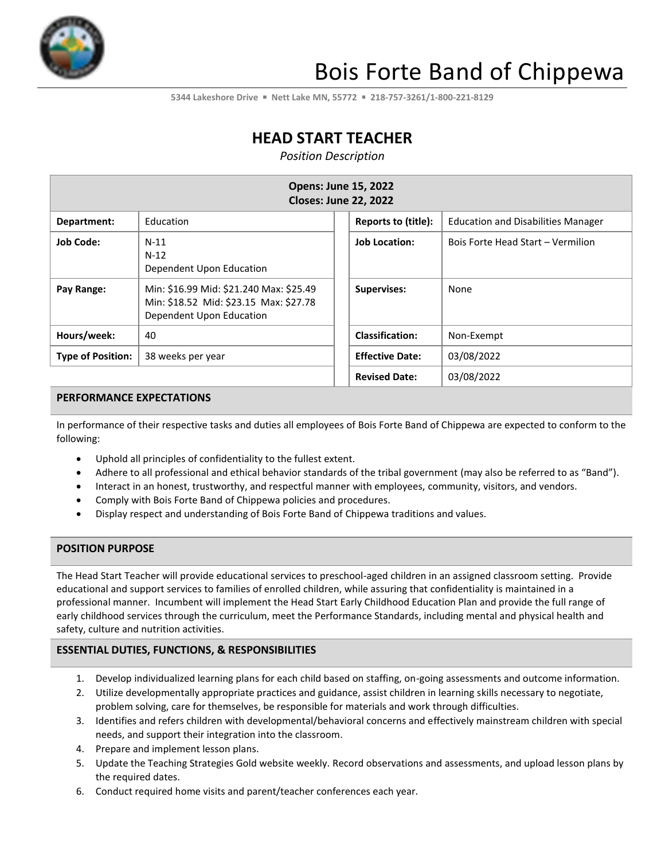

# Bois Forte Band of Chippewa

**5344 Lakeshore Drive** ▪ **Nett Lake MN, 55772** ▪ **218-757-3261/1-800-221-8129**

# **HEAD START TEACHER**

*Position Description*

| <b>Opens: June 15, 2022</b><br><b>Closes: June 22, 2022</b> |                                                                                                               |                        |                                           |  |
|-------------------------------------------------------------|---------------------------------------------------------------------------------------------------------------|------------------------|-------------------------------------------|--|
| Department:                                                 | Education                                                                                                     | Reports to (title):    | <b>Education and Disabilities Manager</b> |  |
| <b>Job Code:</b>                                            | $N-11$<br>$N-12$<br>Dependent Upon Education                                                                  | <b>Job Location:</b>   | Bois Forte Head Start - Vermilion         |  |
| Pay Range:                                                  | Min: \$16.99 Mid: \$21.240 Max: \$25.49<br>Min: \$18.52 Mid: \$23.15 Max: \$27.78<br>Dependent Upon Education | <b>Supervises:</b>     | None                                      |  |
| Hours/week:                                                 | 40                                                                                                            | <b>Classification:</b> | Non-Exempt                                |  |
| <b>Type of Position:</b>                                    | 38 weeks per year                                                                                             | <b>Effective Date:</b> | 03/08/2022                                |  |
|                                                             |                                                                                                               | <b>Revised Date:</b>   | 03/08/2022                                |  |

#### **PERFORMANCE EXPECTATIONS**

In performance of their respective tasks and duties all employees of Bois Forte Band of Chippewa are expected to conform to the following:

- Uphold all principles of confidentiality to the fullest extent.
- Adhere to all professional and ethical behavior standards of the tribal government (may also be referred to as "Band").
- Interact in an honest, trustworthy, and respectful manner with employees, community, visitors, and vendors.
- Comply with Bois Forte Band of Chippewa policies and procedures.
- Display respect and understanding of Bois Forte Band of Chippewa traditions and values.

#### **POSITION PURPOSE**

The Head Start Teacher will provide educational services to preschool-aged children in an assigned classroom setting. Provide educational and support services to families of enrolled children, while assuring that confidentiality is maintained in a professional manner. Incumbent will implement the Head Start Early Childhood Education Plan and provide the full range of early childhood services through the curriculum, meet the Performance Standards, including mental and physical health and safety, culture and nutrition activities.

#### **ESSENTIAL DUTIES, FUNCTIONS, & RESPONSIBILITIES**

- 1. Develop individualized learning plans for each child based on staffing, on-going assessments and outcome information.
- 2. Utilize developmentally appropriate practices and guidance, assist children in learning skills necessary to negotiate, problem solving, care for themselves, be responsible for materials and work through difficulties.
- 3. Identifies and refers children with developmental/behavioral concerns and effectively mainstream children with special needs, and support their integration into the classroom.
- 4. Prepare and implement lesson plans.
- 5. Update the Teaching Strategies Gold website weekly. Record observations and assessments, and upload lesson plans by the required dates.
- 6. Conduct required home visits and parent/teacher conferences each year.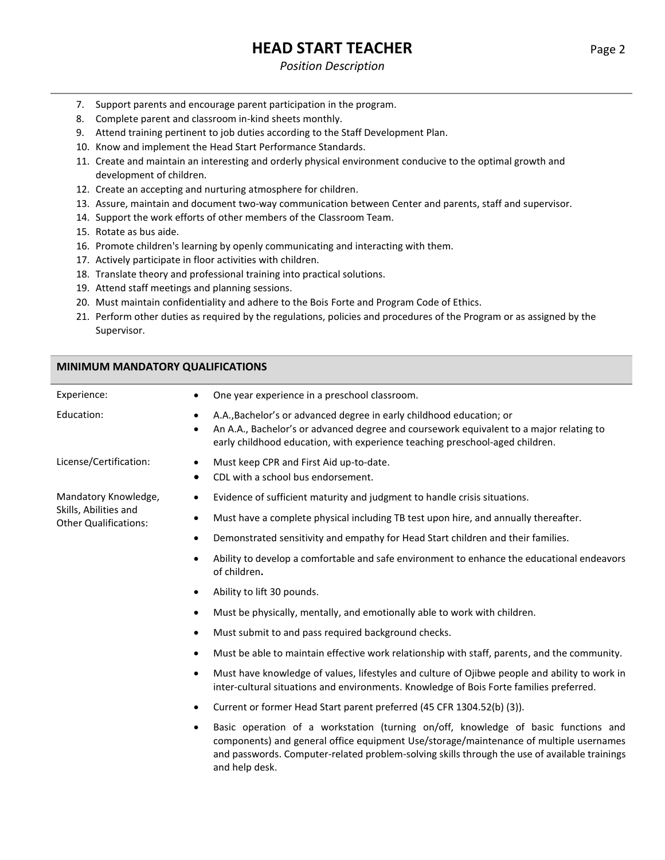# **HEAD START TEACHER** Page 2

#### *Position Description*

- 7. Support parents and encourage parent participation in the program.
- 8. Complete parent and classroom in-kind sheets monthly.
- 9. Attend training pertinent to job duties according to the Staff Development Plan.
- 10. Know and implement the Head Start Performance Standards.
- 11. Create and maintain an interesting and orderly physical environment conducive to the optimal growth and development of children.
- 12. Create an accepting and nurturing atmosphere for children.
- 13. Assure, maintain and document two-way communication between Center and parents, staff and supervisor.
- 14. Support the work efforts of other members of the Classroom Team.
- 15. Rotate as bus aide.
- 16. Promote children's learning by openly communicating and interacting with them.
- 17. Actively participate in floor activities with children.
- 18. Translate theory and professional training into practical solutions.

and help desk.

- 19. Attend staff meetings and planning sessions.
- 20. Must maintain confidentiality and adhere to the Bois Forte and Program Code of Ethics.
- 21. Perform other duties as required by the regulations, policies and procedures of the Program or as assigned by the Supervisor.

#### **MINIMUM MANDATORY QUALIFICATIONS**

| Experience:                                           | One year experience in a preschool classroom.<br>٠                                                                                                                                                                                                        |
|-------------------------------------------------------|-----------------------------------------------------------------------------------------------------------------------------------------------------------------------------------------------------------------------------------------------------------|
| Education:                                            | A.A., Bachelor's or advanced degree in early childhood education; or<br>٠<br>An A.A., Bachelor's or advanced degree and coursework equivalent to a major relating to<br>٠<br>early childhood education, with experience teaching preschool-aged children. |
| License/Certification:                                | Must keep CPR and First Aid up-to-date.<br>$\bullet$<br>CDL with a school bus endorsement.<br>٠                                                                                                                                                           |
| Mandatory Knowledge,                                  | Evidence of sufficient maturity and judgment to handle crisis situations.<br>٠                                                                                                                                                                            |
| Skills, Abilities and<br><b>Other Qualifications:</b> | Must have a complete physical including TB test upon hire, and annually thereafter.<br>$\bullet$                                                                                                                                                          |
|                                                       | Demonstrated sensitivity and empathy for Head Start children and their families.<br>$\bullet$                                                                                                                                                             |
|                                                       | Ability to develop a comfortable and safe environment to enhance the educational endeavors<br>$\bullet$<br>of children.                                                                                                                                   |
|                                                       | Ability to lift 30 pounds.<br>$\bullet$                                                                                                                                                                                                                   |
|                                                       | Must be physically, mentally, and emotionally able to work with children.<br>٠                                                                                                                                                                            |
|                                                       | Must submit to and pass required background checks.<br>$\bullet$                                                                                                                                                                                          |
|                                                       | Must be able to maintain effective work relationship with staff, parents, and the community.<br>$\bullet$                                                                                                                                                 |
|                                                       | Must have knowledge of values, lifestyles and culture of Ojibwe people and ability to work in<br>$\bullet$<br>inter-cultural situations and environments. Knowledge of Bois Forte families preferred.                                                     |
|                                                       | Current or former Head Start parent preferred (45 CFR 1304.52(b) (3)).<br>$\bullet$                                                                                                                                                                       |
|                                                       | Basic operation of a workstation (turning on/off, knowledge of basic functions and<br>$\bullet$<br>components) and general office equipment Use/storage/maintenance of multiple usernames                                                                 |

and passwords. Computer-related problem-solving skills through the use of available trainings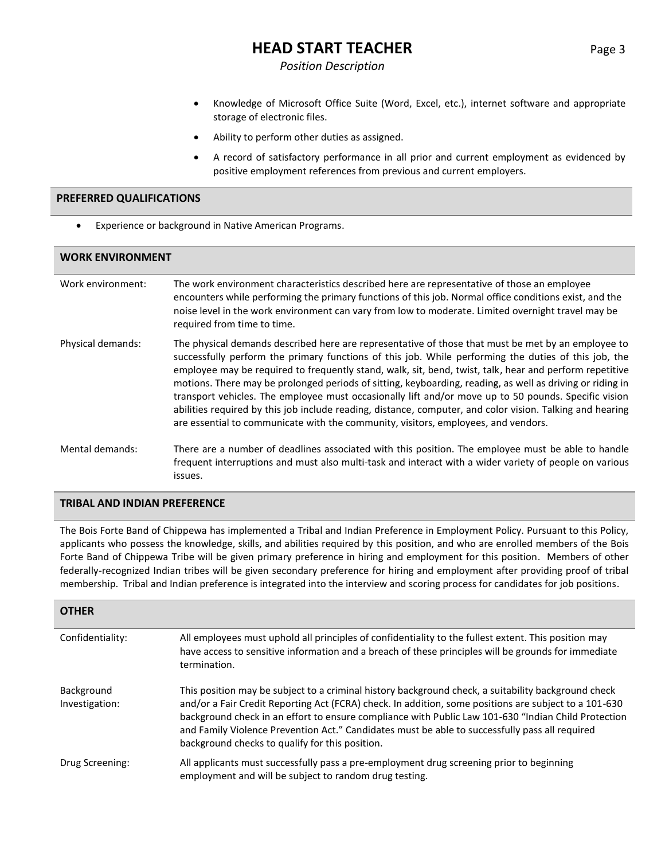## **HEAD START TEACHER** Page 3

#### *Position Description*

- Knowledge of Microsoft Office Suite (Word, Excel, etc.), internet software and appropriate storage of electronic files.
- Ability to perform other duties as assigned.
- A record of satisfactory performance in all prior and current employment as evidenced by positive employment references from previous and current employers.

#### **PREFERRED QUALIFICATIONS**

• Experience or background in Native American Programs.

| <b>WORK ENVIRONMENT</b> |                                                                                                                                                                                                                                                                                                                                                                                                                                                                                                                                                                                                                                                                                                                                               |  |  |
|-------------------------|-----------------------------------------------------------------------------------------------------------------------------------------------------------------------------------------------------------------------------------------------------------------------------------------------------------------------------------------------------------------------------------------------------------------------------------------------------------------------------------------------------------------------------------------------------------------------------------------------------------------------------------------------------------------------------------------------------------------------------------------------|--|--|
| Work environment:       | The work environment characteristics described here are representative of those an employee<br>encounters while performing the primary functions of this job. Normal office conditions exist, and the<br>noise level in the work environment can vary from low to moderate. Limited overnight travel may be<br>required from time to time.                                                                                                                                                                                                                                                                                                                                                                                                    |  |  |
| Physical demands:       | The physical demands described here are representative of those that must be met by an employee to<br>successfully perform the primary functions of this job. While performing the duties of this job, the<br>employee may be required to frequently stand, walk, sit, bend, twist, talk, hear and perform repetitive<br>motions. There may be prolonged periods of sitting, keyboarding, reading, as well as driving or riding in<br>transport vehicles. The employee must occasionally lift and/or move up to 50 pounds. Specific vision<br>abilities required by this job include reading, distance, computer, and color vision. Talking and hearing<br>are essential to communicate with the community, visitors, employees, and vendors. |  |  |
| Mental demands:         | There are a number of deadlines associated with this position. The employee must be able to handle<br>frequent interruptions and must also multi-task and interact with a wider variety of people on various<br>issues.                                                                                                                                                                                                                                                                                                                                                                                                                                                                                                                       |  |  |

#### **TRIBAL AND INDIAN PREFERENCE**

The Bois Forte Band of Chippewa has implemented a Tribal and Indian Preference in Employment Policy. Pursuant to this Policy, applicants who possess the knowledge, skills, and abilities required by this position, and who are enrolled members of the Bois Forte Band of Chippewa Tribe will be given primary preference in hiring and employment for this position. Members of other federally-recognized Indian tribes will be given secondary preference for hiring and employment after providing proof of tribal membership. Tribal and Indian preference is integrated into the interview and scoring process for candidates for job positions.

| <b>OTHER</b>                 |                                                                                                                                                                                                                                                                                                                                                                                                                                                                          |
|------------------------------|--------------------------------------------------------------------------------------------------------------------------------------------------------------------------------------------------------------------------------------------------------------------------------------------------------------------------------------------------------------------------------------------------------------------------------------------------------------------------|
| Confidentiality:             | All employees must uphold all principles of confidentiality to the fullest extent. This position may<br>have access to sensitive information and a breach of these principles will be grounds for immediate<br>termination.                                                                                                                                                                                                                                              |
| Background<br>Investigation: | This position may be subject to a criminal history background check, a suitability background check<br>and/or a Fair Credit Reporting Act (FCRA) check. In addition, some positions are subject to a 101-630<br>background check in an effort to ensure compliance with Public Law 101-630 "Indian Child Protection<br>and Family Violence Prevention Act." Candidates must be able to successfully pass all required<br>background checks to qualify for this position. |
| Drug Screening:              | All applicants must successfully pass a pre-employment drug screening prior to beginning<br>employment and will be subject to random drug testing.                                                                                                                                                                                                                                                                                                                       |